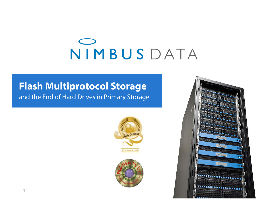# NIMBUSDATA

#### **Flash Multiprotocol Storage** and the End of Hard Drives in Primary Storage

lech Amarda Circli



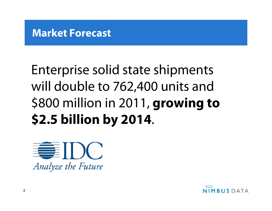#### **Market Forecast**

# Enterprise solid state shipments will double to 762,400 units and \$800 million in 2011, **growing to \$2.5 billion by 2014**.



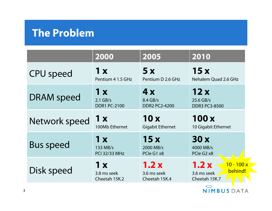### **The Problem**

|                   | 2000                                | 2005                                 | 2010                                                           |
|-------------------|-------------------------------------|--------------------------------------|----------------------------------------------------------------|
| <b>CPU</b> speed  | 1 x                                 | 5x                                   | 15x                                                            |
|                   | Pentium 4 1.5 GHz                   | Pentium D 2.6 GHz                    | Nehalem Quad 2.6 GHz                                           |
| <b>DRAM</b> speed | 1 x                                 | 4x                                   | 12x                                                            |
|                   | $2.1$ GB/s                          | $8.4$ GB/s                           | 25.6 GB/s                                                      |
|                   | <b>DDR1 PC-2100</b>                 | <b>DDR2 PC2-4200</b>                 | <b>DDR3 PC3-8500</b>                                           |
| Network speed     | 1 x                                 | 10x                                  | 100x                                                           |
|                   | 100Mb Ethernet                      | <b>Gigabit Ethernet</b>              | 10 Gigabit Ethernet                                            |
| <b>Bus speed</b>  | 1 x                                 | 15x                                  | 30x                                                            |
|                   | 133 MB/s                            | 2000 MB/s                            | 4000 MB/s                                                      |
|                   | <b>PCI 32/33 MHz</b>                | PCIe G1 x8                           | PCIe G <sub>2</sub> x <sub>8</sub>                             |
| Disk speed        | 1 x<br>3.8 ms seek<br>Cheetah 15K.2 | 1.2x<br>3.6 ms seek<br>Cheetah 15K.4 | 1.2x<br>$10 - 100x$<br>behind!<br>3.6 ms seek<br>Cheetah 15K.7 |

NIMBUS DATA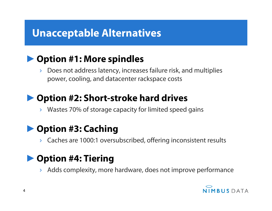# **Unacceptable Alternatives**

#### ►**Option #1: More spindles**

› Does not address latency, increases failure risk, and multiplies power, cooling, and datacenter rackspace costs

#### ►**Option #2: Short-stroke hard drives**

› Wastes 70% of storage capacity for limited speed gains

#### ►**Option #3: Caching**

Caches are 1000:1 oversubscribed, offering inconsistent results

### ►**Option #4: Tiering**

Adds complexity, more hardware, does not improve performance

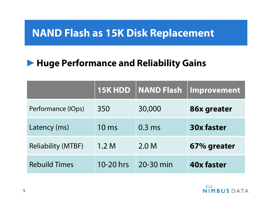## **NAND Flash as 15K Disk Replacement**

### ►**Huge Performance and Reliability Gains**

|                           | 15K HDD         | <b>NAND Flash</b> | Improvement       |
|---------------------------|-----------------|-------------------|-------------------|
| Performance (IOps)        | 350             | 30,000            | 86x greater       |
| Latency (ms)              | $10 \text{ ms}$ | $0.3$ ms          | <b>30x faster</b> |
| <b>Reliability (MTBF)</b> | 1.2 M           | 2.0 <sub>M</sub>  | 67% greater       |
| <b>Rebuild Times</b>      | 10-20 hrs       | 20-30 min         | <b>40x faster</b> |

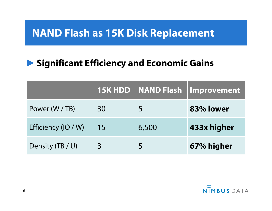## **NAND Flash as 15K Disk Replacement**

### ►**Significant Efficiency and Economic Gains**

|                     |    |       | 15K HDD   NAND Flash   Improvement |
|---------------------|----|-------|------------------------------------|
| Power (W / TB)      | 30 |       | 83% lower                          |
| Efficiency (IO / W) | 15 | 6,500 | 433x higher                        |
| Density (TB / U)    |    |       | 67% higher                         |

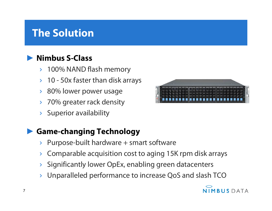# **The Solution**

#### ►**Nimbus S-Class**

- › 100% NAND flash memory
- $\rightarrow$  10 50x faster than disk arrays
- › 80% lower power usage
- 70% greater rack density
- Superior availability

#### ►**Game-changing Technology**

- $\rightarrow$  Purpose-built hardware  $+$  smart software
- › Comparable acquisition cost to aging 15K rpm disk arrays
- Significantly lower OpEx, enabling green datacenters
- Unparalleled performance to increase QoS and slash TCO



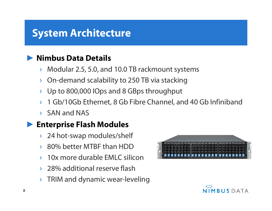# **System Architecture**

#### ►**Nimbus Data Details**

- › Modular 2.5, 5.0, and 10.0 TB rackmount systems
- › On-demand scalability to 250 TB via stacking
- › Up to 800,000 IOps and 8 GBps throughput
- › 1 Gb/10Gb Ethernet, 8 Gb Fibre Channel, and 40 Gb Infiniband
- › SAN and NAS

#### ►**Enterprise Flash Modules**

- › 24 hot-swap modules/shelf
- › 80% better MTBF than HDD
- › 10x more durable EMLC silicon
- › 28% additional reserve flash
- $\rightarrow$  TRIM and dynamic wear-leveling